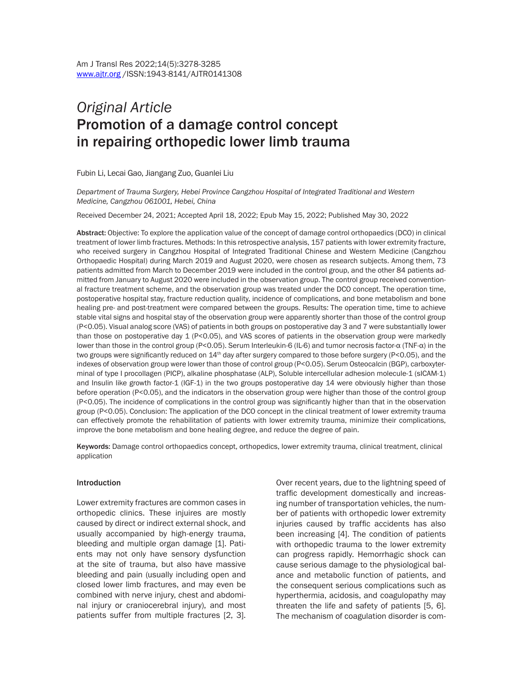# *Original Article*  Promotion of a damage control concept in repairing orthopedic lower limb trauma

Fubin Li, Lecai Gao, Jiangang Zuo, Guanlei Liu

*Department of Trauma Surgery, Hebei Province Cangzhou Hospital of Integrated Traditional and Western Medicine, Cangzhou 061001, Hebei, China*

Received December 24, 2021; Accepted April 18, 2022; Epub May 15, 2022; Published May 30, 2022

Abstract: Objective: To explore the application value of the concept of damage control orthopaedics (DCO) in clinical treatment of lower limb fractures. Methods: In this retrospective analysis, 157 patients with lower extremity fracture, who received surgery in Cangzhou Hospital of Integrated Traditional Chinese and Western Medicine (Cangzhou Orthopaedic Hospital) during March 2019 and August 2020, were chosen as research subjects. Among them, 73 patients admitted from March to December 2019 were included in the control group, and the other 84 patients admitted from January to August 2020 were included in the observation group. The control group received conventional fracture treatment scheme, and the observation group was treated under the DCO concept. The operation time, postoperative hospital stay, fracture reduction quality, incidence of complications, and bone metabolism and bone healing pre- and post-treatment were compared between the groups. Results: The operation time, time to achieve stable vital signs and hospital stay of the observation group were apparently shorter than those of the control group (P<0.05). Visual analog score (VAS) of patients in both groups on postoperative day 3 and 7 were substantially lower than those on postoperative day 1 (P<0.05), and VAS scores of patients in the observation group were markedly lower than those in the control group (P<0.05). Serum Interleukin-6 (IL-6) and tumor necrosis factor-α (TNF-α) in the two groups were significantly reduced on 14<sup>th</sup> day after surgery compared to those before surgery (P<0.05), and the indexes of observation group were lower than those of control group (P<0.0*5*). Serum Osteocalcin (BGP), carboxyterminal of type I procollagen (PICP), alkaline phosphatase (ALP), Soluble intercellular adhesion molecule-1 (sICAM-1) and Insulin like growth factor-1 (IGF-1) in the two groups postoperative day 14 were obviously higher than those before operation (P<0.05), and the indicators in the observation group were higher than those of the control group (P<0.05). The incidence of complications in the control group was significantly higher than that in the observation group (P<0.05). Conclusion: The application of the DCO concept in the clinical treatment of lower extremity trauma can effectively promote the rehabilitation of patients with lower extremity trauma, minimize their complications, improve the bone metabolism and bone healing degree, and reduce the degree of pain.

Keywords: Damage control orthopaedics concept, orthopedics, lower extremity trauma, clinical treatment, clinical application

#### Introduction

Lower extremity fractures are common cases in orthopedic clinics. These injuires are mostly caused by direct or indirect external shock, and usually accompanied by high-energy trauma, bleeding and multiple organ damage [1]. Patients may not only have sensory dysfunction at the site of trauma, but also have massive bleeding and pain (usually including open and closed lower limb fractures, and may even be combined with nerve injury, chest and abdominal injury or craniocerebral injury), and most patients suffer from multiple fractures [2, 3].

Over recent years, due to the lightning speed of traffic development domestically and increasing number of transportation vehicles, the number of patients with orthopedic lower extremity injuries caused by traffic accidents has also been increasing [4]. The condition of patients with orthopedic trauma to the lower extremity can progress rapidly. Hemorrhagic shock can cause serious damage to the physiological balance and metabolic function of patients, and the consequent serious complications such as hyperthermia, acidosis, and coagulopathy may threaten the life and safety of patients [5, 6]. The mechanism of coagulation disorder is com-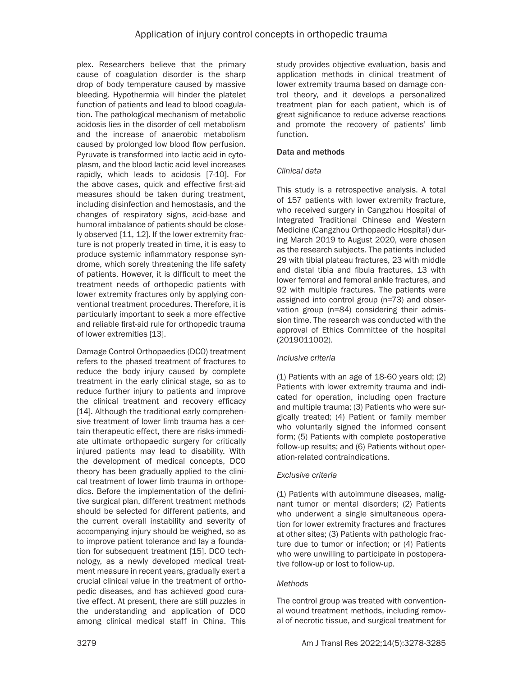plex. Researchers believe that the primary cause of coagulation disorder is the sharp drop of body temperature caused by massive bleeding. Hypothermia will hinder the platelet function of patients and lead to blood coagulation. The pathological mechanism of metabolic acidosis lies in the disorder of cell metabolism and the increase of anaerobic metabolism caused by prolonged low blood flow perfusion. Pyruvate is transformed into lactic acid in cytoplasm, and the blood lactic acid level increases rapidly, which leads to acidosis [7-10]. For the above cases, quick and effective first-aid measures should be taken during treatment, including disinfection and hemostasis, and the changes of respiratory signs, acid-base and humoral imbalance of patients should be closely observed [11, 12]. If the lower extremity fracture is not properly treated in time, it is easy to produce systemic inflammatory response syndrome, which sorely threatening the life safety of patients. However, it is difficult to meet the treatment needs of orthopedic patients with lower extremity fractures only by applying conventional treatment procedures. Therefore, it is particularly important to seek a more effective and reliable first-aid rule for orthopedic trauma of lower extremities [13].

Damage Control Orthopaedics (DCO) treatment refers to the phased treatment of fractures to reduce the body injury caused by complete treatment in the early clinical stage, so as to reduce further injury to patients and improve the clinical treatment and recovery efficacy [14]. Although the traditional early comprehensive treatment of lower limb trauma has a certain therapeutic effect, there are risks-immediate ultimate orthopaedic surgery for critically injured patients may lead to disability. With the development of medical concepts, DCO theory has been gradually applied to the clinical treatment of lower limb trauma in orthopedics. Before the implementation of the definitive surgical plan, different treatment methods should be selected for different patients, and the current overall instability and severity of accompanying injury should be weighed, so as to improve patient tolerance and lay a foundation for subsequent treatment [15]. DCO technology, as a newly developed medical treatment measure in recent years, gradually exert a crucial clinical value in the treatment of orthopedic diseases, and has achieved good curative effect. At present, there are still puzzles in the understanding and application of DCO among clinical medical staff in China. This

study provides objective evaluation, basis and application methods in clinical treatment of lower extremity trauma based on damage control theory, and it develops a personalized treatment plan for each patient, which is of great significance to reduce adverse reactions and promote the recovery of patients' limb function.

# Data and methods

# *Clinical data*

This study is a retrospective analysis. A total of 157 patients with lower extremity fracture, who received surgery in Cangzhou Hospital of Integrated Traditional Chinese and Western Medicine (Cangzhou Orthopaedic Hospital) during March 2019 to August 2020, were chosen as the research subjects. The patients included 29 with tibial plateau fractures, 23 with middle and distal tibia and fibula fractures, 13 with lower femoral and femoral ankle fractures, and 92 with multiple fractures. The patients were assigned into control group (n=73) and observation group (n=84) considering their admission time. The research was conducted with the approval of Ethics Committee of the hospital (2019011002).

# *Inclusive criteria*

(1) Patients with an age of 18-60 years old; (2) Patients with lower extremity trauma and indicated for operation, including open fracture and multiple trauma; (3) Patients who were surgically treated; (4) Patient or family member who voluntarily signed the informed consent form; (5) Patients with complete postoperative follow-up results; and (6) Patients without operation-related contraindications.

# *Exclusive criteria*

(1) Patients with autoimmune diseases, malignant tumor or mental disorders; (2) Patients who underwent a single simultaneous operation for lower extremity fractures and fractures at other sites; (3) Patients with pathologic fracture due to tumor or infection; or (4) Patients who were unwilling to participate in postoperative follow-up or lost to follow-up.

# *Methods*

The control group was treated with conventional wound treatment methods, including removal of necrotic tissue, and surgical treatment for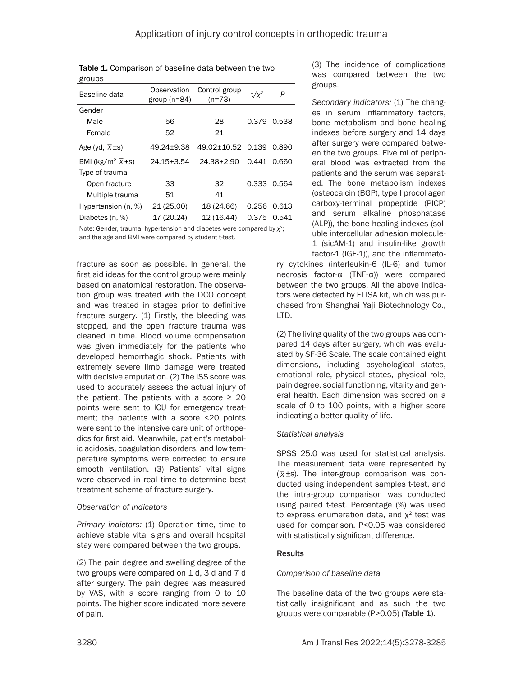| giuupa                                    |                               |                           |         |       |
|-------------------------------------------|-------------------------------|---------------------------|---------|-------|
| Baseline data                             | Observation<br>group $(n=84)$ | Control group<br>$(n=73)$ | $t/x^2$ | Ρ     |
| Gender                                    |                               |                           |         |       |
| Male                                      | 56                            | 28                        | 0.379   | 0.538 |
| Female                                    | 52                            | 21                        |         |       |
| Age (yd, $\overline{X} \pm s$ )           | 49.24+9.38                    | 49.02+10.52 0.139         |         | 0.890 |
| BMI (kg/m <sup>2</sup> $\overline{X}$ ±s) | $24.15 \pm 3.54$              | $24.38 + 2.90$            | 0.441   | 0.660 |
| Type of trauma                            |                               |                           |         |       |
| Open fracture                             | 33                            | 32                        | 0.333   | 0.564 |
| Multiple trauma                           | 51                            | 41                        |         |       |
| Hypertension (n, %)                       | 21 (25.00)                    | 18 (24.66)                | 0.256   | 0.613 |
| Diabetes (n, %)                           | 17 (20.24)                    | 12 (16.44)                | 0.375   | 0.541 |

Table 1. Comparison of baseline data between the two droups

Note: Gender, trauma, hypertension and diabetes were compared by *χ*2; and the age and BMI were compared by student t-test.

fracture as soon as possible. In general, the first aid ideas for the control group were mainly based on anatomical restoration. The observation group was treated with the DCO concept and was treated in stages prior to definitive fracture surgery. (1) Firstly, the bleeding was stopped, and the open fracture trauma was cleaned in time. Blood volume compensation was given immediately for the patients who developed hemorrhagic shock. Patients with extremely severe limb damage were treated with decisive amputation. (2) The ISS score was used to accurately assess the actual injury of the patient. The patients with a score  $\geq 20$ points were sent to ICU for emergency treatment; the patients with a score <20 points were sent to the intensive care unit of orthopedics for first aid. Meanwhile, patient's metabolic acidosis, coagulation disorders, and low temperature symptoms were corrected to ensure smooth ventilation. (3) Patients' vital signs were observed in real time to determine best treatment scheme of fracture surgery.

#### *Observation of indicators*

*Primary indictors:* (1) Operation time, time to achieve stable vital signs and overall hospital stay were compared between the two groups.

(2) The pain degree and swelling degree of the two groups were compared on 1 d, 3 d and 7 d after surgery. The pain degree was measured by VAS, with a score ranging from 0 to 10 points. The higher score indicated more severe of pain.

(3) The incidence of complications was compared between the two groups.

*Secondary indicators:* (1) The changes in serum inflammatory factors, bone metabolism and bone healing indexes before surgery and 14 days after surgery were compared between the two groups. Five ml of peripheral blood was extracted from the patients and the serum was separated. The bone metabolism indexes (osteocalcin (BGP), type I procollagen carboxy-terminal propeptide (PICP) and serum alkaline phosphatase (ALP)), the bone healing indexes (soluble intercellular adhesion molecule-1 (sicAM-1) and insulin-like growth factor-1 (IGF-1)), and the inflammato-

ry cytokines (interleukin-6 (IL-6) and tumor necrosis factor-α (TNF-α)) were compared between the two groups. All the above indicators were detected by ELISA kit, which was purchased from Shanghai Yaji Biotechnology Co., LTD.

(2) The living quality of the two groups was compared 14 days after surgery, which was evaluated by SF-36 Scale. The scale contained eight dimensions, including psychological states, emotional role, physical states, physical role, pain degree, social functioning, vitality and general health. Each dimension was scored on a scale of 0 to 100 points, with a higher score indicating a better quality of life.

# *Statistical analysis*

SPSS 25.0 was used for statistical analysis. The measurement data were represented by  $(\overline{z}, \overline{z})$ . ( *x*±s). The inter-group comparison was conducted using independent samples t-test, and the intra-group comparison was conducted using paired t-test. Percentage (%) was used to express enumeration data, and  $x^2$  test was used for comparison. P<0.05 was considered with statistically significant difference.

# **Results**

# *Comparison of baseline data*

The baseline data of the two groups were statistically insignificant and as such the two groups were comparable (P>0.05) (Table 1).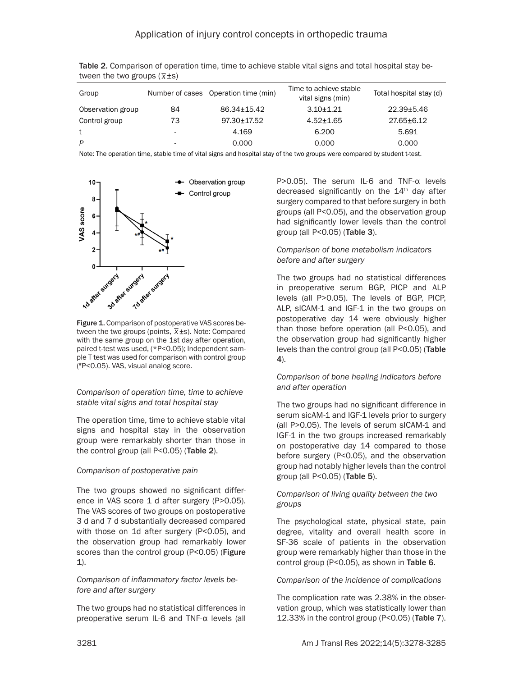| $\frac{1}{2}$     |    |                                      |                                             |                         |  |  |
|-------------------|----|--------------------------------------|---------------------------------------------|-------------------------|--|--|
| Group             |    | Number of cases Operation time (min) | Time to achieve stable<br>vital signs (min) | Total hospital stay (d) |  |  |
| Observation group | 84 | 86.34+15.42                          | $3.10 + 1.21$                               | $22.39 + 5.46$          |  |  |
| Control group     | 73 | 97.30±17.52                          | $4.52 + 1.65$                               | $27.65 \pm 6.12$        |  |  |
|                   |    | 4.169                                | 6.200                                       | 5.691                   |  |  |
| D                 |    | 0.000                                | 0.000                                       | 0.000                   |  |  |

Table 2. Comparison of operation time, time to achieve stable vital signs and total hospital stay between the two groups (\_ *x*±s)

Note: The operation time, stable time of vital signs and hospital stay of the two groups were compared by student t-test.



Figure 1. Comparison of postoperative VAS scores be-**Figure 1.** Comparison or postoperative vAS scores be-<br>tween the two groups (points,  $\overline{x}$ ±s). Note: Compared with the same group on the 1st day after operation, paired t-test was used, (\*P<0.05); Independent sample T test was used for comparison with control group ( #P<0.05). VAS, visual analog score.

## *Comparison of operation time, time to achieve stable vital signs and total hospital stay*

The operation time, time to achieve stable vital signs and hospital stay in the observation group were remarkably shorter than those in the control group (all P<0.05) (Table 2).

#### *Comparison of postoperative pain*

The two groups showed no significant difference in VAS score 1 d after surgery (P>0.05). The VAS scores of two groups on postoperative 3 d and 7 d substantially decreased compared with those on 1d after surgery (P<0.05), and the observation group had remarkably lower scores than the control group (P<0.05) (Figure 1).

#### *Comparison of inflammatory factor levels before and after surgery*

The two groups had no statistical differences in preoperative serum IL-6 and TNF-α levels (all P>0.05). The serum IL-6 and TNF-α levels decreased significantly on the  $14<sup>th</sup>$  day after surgery compared to that before surgery in both groups (all P<0.05), and the observation group had significantly lower levels than the control group (all P<0.05) (Table 3).

## *Comparison of bone metabolism indicators before and after surgery*

The two groups had no statistical differences in preoperative serum BGP, PICP and ALP levels (all P>0.05). The levels of BGP, PICP, ALP, sICAM-1 and IGF-1 in the two groups on postoperative day 14 were obviously higher than those before operation (all P<0.05), and the observation group had significantly higher levels than the control group (all P<0.05) (Table 4).

## *Comparison of bone healing indicators before and after operation*

The two groups had no significant difference in serum sicAM-1 and IGF-1 levels prior to surgery (all P>0.05). The levels of serum sICAM-1 and IGF-1 in the two groups increased remarkably on postoperative day 14 compared to those before surgery (P<0.05), and the observation group had notably higher levels than the control group (all P<0.05) (Table 5).

#### *Comparison of living quality between the two groups*

The psychological state, physical state, pain degree, vitality and overall health score in SF-36 scale of patients in the observation group were remarkably higher than those in the control group (P<0.05), as shown in Table 6.

#### *Comparison of the incidence of complications*

The complication rate was 2.38% in the observation group, which was statistically lower than 12.33% in the control group (P<0.05) (Table 7).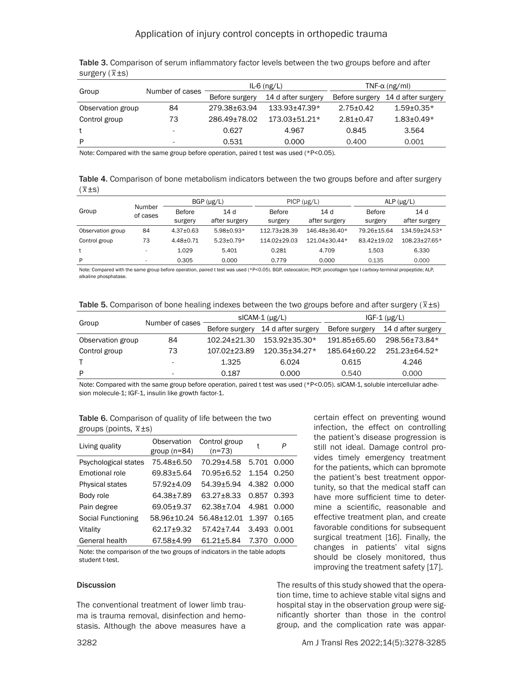## Application of injury control concepts in orthopedic trauma

| $\cdots$          |                          |                |                          |                       |                    |  |
|-------------------|--------------------------|----------------|--------------------------|-----------------------|--------------------|--|
|                   |                          |                | IL-6 $(ng/L)$            | TNF- $\alpha$ (ng/ml) |                    |  |
| Group             | Number of cases          | Before surgery | 14 d after surgery       | Before surgery        | 14 d after surgery |  |
| Observation group | 84                       | 279.38+63.94   | $133.93 + 47.39*$        | $2.75 + 0.42$         | $1.59 + 0.35*$     |  |
| Control group     | 73                       | 286.49±78.02   | $173.03 \pm 51.21 \star$ | $2.81 + 0.47$         | $1.83 \pm 0.49*$   |  |
|                   | $\overline{\phantom{a}}$ | 0.627          | 4.967                    | 0.845                 | 3.564              |  |
| P                 | $\overline{\phantom{a}}$ | 0.531          | 0.000                    | 0.400                 | 0.001              |  |

Table 3. Comparison of serum inflammatory factor levels between the two groups before and after surgery (\_ *x*±s)

Note: Compared with the same group before operation, paired t test was used (\*P<0.05).

Table 4. Comparison of bone metabolism indicators between the two groups before and after surgery<br>(Fight) ( *x*±s)

|                   |                          | $PICP (\mu g/L)$<br>$BGP$ ( $\mu$ g/L) |                      |                   | ALP $(\mu g/L)$      |                   |                      |
|-------------------|--------------------------|----------------------------------------|----------------------|-------------------|----------------------|-------------------|----------------------|
| Group             | Number<br>of cases       | <b>Before</b><br>surgery               | 14d<br>after surgery | Before<br>surgery | 14d<br>after surgery | Before<br>surgery | 14d<br>after surgery |
| Observation group | 84                       | $4.37 \pm 0.63$                        | $5.98 + 0.93*$       | 112.73+28.39      | 146.48+36.40*        | 79.26±15.64       | 134.59+24.53*        |
| Control group     | 73                       | $4.48 + 0.71$                          | $5.23 + 0.79*$       | 114.02+29.03      | $121.04 + 30.44*$    | 83.42+19.02       | $108.23 + 27.65*$    |
|                   |                          | 1.029                                  | 5.401                | 0.281             | 4.709                | 1.503             | 6.330                |
| P                 | $\overline{\phantom{a}}$ | 0.305                                  | 0.000                | 0.779             | 0.000                | 0.135             | 0.000                |

Note: Compared with the same group before operation, paired t test was used (\*P<0.05). BGP, osteocalcin; PICP, procollagen type I carboxy-terminal propeptide; ALP, alkaline phosphatase.

|  | Table 5. Comparison of bone healing indexes between the two groups before and after surgery ( $\bar{x}$ ±s) |  |
|--|-------------------------------------------------------------------------------------------------------------|--|

|    |                 |                   | $IGF-1$ ( $\mu$ g/L)                         |                    |
|----|-----------------|-------------------|----------------------------------------------|--------------------|
|    | Before surgery  |                   | Before surgery                               | 14 d after surgery |
| 84 | 102.24±21.30    | $153.92 + 35.30*$ | 191.85+65.60                                 | 298.56+73.84*      |
| 73 | 107.02+23.89    | $120.35 + 34.27*$ | 185.64±60.22                                 | 251.23+64.52*      |
| ۰  | 1.325           | 6.024             | 0.615                                        | 4.246              |
| ۰  | 0.187           | 0.000             | 0.540                                        | 0.000              |
|    | Number of cases |                   | $slCAM-1$ ( $\mu$ g/L)<br>14 d after surgery |                    |

Note: Compared with the same group before operation, paired t test was used (\*P<0.05). sICAM-1, soluble intercellular adhesion molecule-1; IGF-1, insulin like growth factor-1.

Table 6. Comparison of quality of life between the two groups (points, \_ *x*±s)

| Living quality         | Observation<br>group $(n=84)$ | Control group<br>$(n=73)$ | t     | P     |
|------------------------|-------------------------------|---------------------------|-------|-------|
| Psychological states   | 75.48±6.50                    | 70.29±4.58                | 5.701 | 0.000 |
| Emotional role         | 69.83±5.64                    | 70.95±6.52                | 1.154 | 0.250 |
| <b>Physical states</b> | 57.92±4.09                    | 54.39±5.94                | 4.382 | 0.000 |
| Body role              | 64.38±7.89                    | 63.27±8.33                | 0.857 | 0.393 |
| Pain degree            | 69.05±9.37                    | 62.38±7.04                | 4.981 | 0.000 |
| Social Functioning     | 58.96±10.24                   | 56.48±12.01               | 1.397 | 0.165 |
| Vitality               | 62.17±9.32                    | 57.42±7.44                | 3.493 | 0.001 |
| General health         | 67.58+4.99                    | 61.21+5.84                | 7.370 | 0.000 |

Note: the comparison of the two groups of indicators in the table adopts student t-test.

#### **Discussion**

The conventional treatment of lower limb trauma is trauma removal, disinfection and hemostasis. Although the above measures have a certain effect on preventing wound infection, the effect on controlling the patient's disease progression is still not ideal. Damage control provides timely emergency treatment for the patients, which can bpromote the patient's best treatment opportunity, so that the medical staff can have more sufficient time to determine a scientific, reasonable and effective treatment plan, and create favorable conditions for subsequent surgical treatment [16]. Finally, the changes in patients' vital signs should be closely monitored, thus improving the treatment safety [17].

The results of this study showed that the operation time, time to achieve stable vital signs and hospital stay in the observation group were significantly shorter than those in the control group, and the complication rate was appar-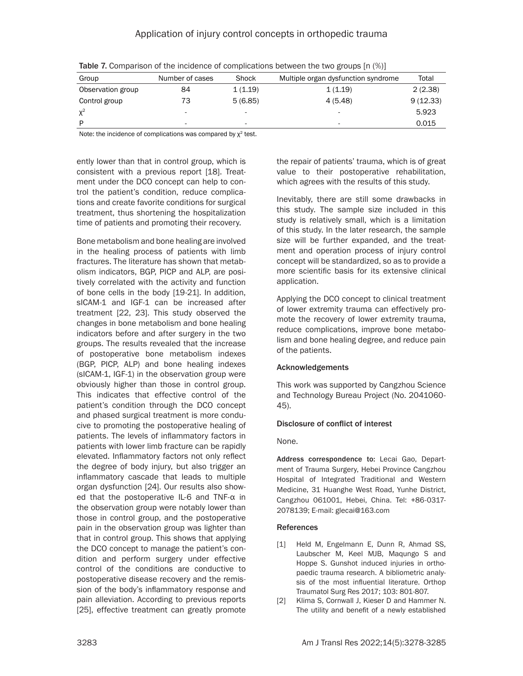| Group             | Number of cases | Shock                    | Multiple organ dysfunction syndrome | Total    |
|-------------------|-----------------|--------------------------|-------------------------------------|----------|
| Observation group | 84              | 1(1.19)                  | 1(1.19)                             | 2(2.38)  |
| Control group     | 73              | 5(6.85)                  | 4(5.48)                             | 9(12.33) |
| $\chi^2$          |                 | $\overline{\phantom{0}}$ | -                                   | 5.923    |
| D                 | ۰               | ۰                        | ۰                                   | 0.015    |

Table 7. Comparison of the incidence of complications between the two groups [n (%)]

Note: the incidence of complications was compared by  $\chi^2$  test.

ently lower than that in control group, which is consistent with a previous report [18]. Treatment under the DCO concept can help to control the patient's condition, reduce complications and create favorite conditions for surgical treatment, thus shortening the hospitalization time of patients and promoting their recovery.

Bone metabolism and bone healing are involved in the healing process of patients with limb fractures. The literature has shown that metabolism indicators, BGP, PICP and ALP, are positively correlated with the activity and function of bone cells in the body [19-21]. In addition, sICAM-1 and IGF-1 can be increased after treatment [22, 23]. This study observed the changes in bone metabolism and bone healing indicators before and after surgery in the two groups. The results revealed that the increase of postoperative bone metabolism indexes (BGP, PICP, ALP) and bone healing indexes (sICAM-1, IGF-1) in the observation group were obviously higher than those in control group. This indicates that effective control of the patient's condition through the DCO concept and phased surgical treatment is more conducive to promoting the postoperative healing of patients. The levels of inflammatory factors in patients with lower limb fracture can be rapidly elevated. Inflammatory factors not only reflect the degree of body injury, but also trigger an inflammatory cascade that leads to multiple organ dysfunction [24]. Our results also showed that the postoperative IL-6 and TNF-α in the observation group were notably lower than those in control group, and the postoperative pain in the observation group was lighter than that in control group. This shows that applying the DCO concept to manage the patient's condition and perform surgery under effective control of the conditions are conductive to postoperative disease recovery and the remission of the body's inflammatory response and pain alleviation. According to previous reports [25], effective treatment can greatly promote

the repair of patients' trauma, which is of great value to their postoperative rehabilitation, which agrees with the results of this study.

Inevitably, there are still some drawbacks in this study. The sample size included in this study is relatively small, which is a limitation of this study. In the later research, the sample size will be further expanded, and the treatment and operation process of injury control concept will be standardized, so as to provide a more scientific basis for its extensive clinical application.

Applying the DCO concept to clinical treatment of lower extremity trauma can effectively promote the recovery of lower extremity trauma, reduce complications, improve bone metabolism and bone healing degree, and reduce pain of the patients.

# Acknowledgements

This work was supported by Cangzhou Science and Technology Bureau Project (No. 2041060- 45).

# Disclosure of conflict of interest

None.

Address correspondence to: Lecai Gao, Department of Trauma Surgery, Hebei Province Cangzhou Hospital of Integrated Traditional and Western Medicine, 31 Huanghe West Road, Yunhe District, Cangzhou 061001, Hebei, China. Tel: +86-0317- 2078139; E-mail: [glecai@163.com](mailto:glecai@163.com)

#### References

- [1] Held M, Engelmann E, Dunn R, Ahmad SS, Laubscher M, Keel MJB, Maqungo S and Hoppe S. Gunshot induced injuries in orthopaedic trauma research. A bibliometric analysis of the most influential literature. Orthop Traumatol Surg Res 2017; 103: 801-807.
- [2] Klima S, Cornwall J, Kieser D and Hammer N. The utility and benefit of a newly established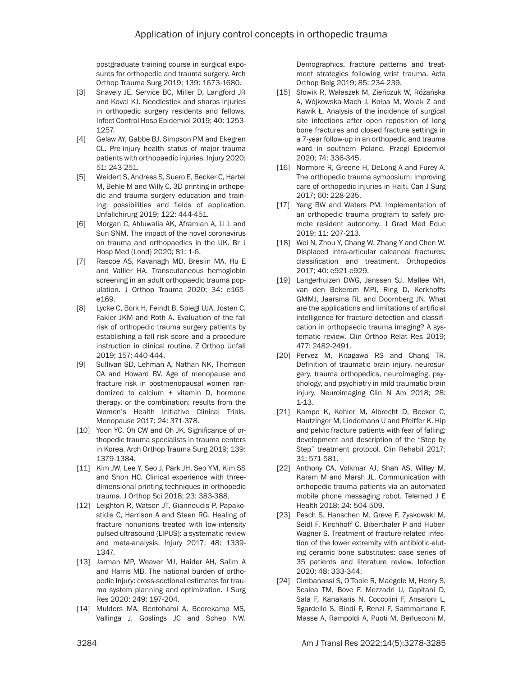postgraduate training course in surgical exposures for orthopedic and trauma surgery. Arch Orthop Trauma Surg 2019; 139: 1673-1680.

- [3] Snavely JE, Service BC, Miller D, Langford JR and Koval KJ. Needlestick and sharps injuries in orthopedic surgery residents and fellows. Infect Control Hosp Epidemiol 2019; 40: 1253- 1257.
- [4] Gelaw AY, Gabbe BJ, Simpson PM and Ekegren CL. Pre-injury health status of major trauma patients with orthopaedic injuries. Injury 2020; 51: 243-251.
- [5] Weidert S, Andress S, Suero E, Becker C, Hartel M, Behle M and Willy C. 3D printing in orthopedic and trauma surgery education and training: possibilities and fields of application. Unfallchirurg 2019; 122: 444-451.
- [6] Morgan C, Ahluwalia AK, Aframian A, Li L and Sun SNM. The impact of the novel coronavirus on trauma and orthopaedics in the UK. Br J Hosp Med (Lond) 2020; 81: 1-6.
- [7] Rascoe AS, Kavanagh MD, Breslin MA, Hu E and Vallier HA. Transcutaneous hemoglobin screening in an adult orthopaedic trauma population. J Orthop Trauma 2020; 34: e165 e169.
- [8] Lycke C, Bork H, Feindt B, Spiegl UJA, Josten C, Fakler JKM and Roth A. Evaluation of the fall risk of orthopedic trauma surgery patients by establishing a fall risk score and a procedure instruction in clinical routine. Z Orthop Unfall 2019; 157: 440-444.
- [9] Sullivan SD, Lehman A, Nathan NK, Thomson CA and Howard BV. Age of menopause and fracture risk in postmenopausal women randomized to calcium + vitamin D, hormone therapy, or the combination: results from the Women's Health Initiative Clinical Trials. Menopause 2017; 24: 371-378.
- [10] Yoon YC, Oh CW and Oh JK. Significance of orthopedic trauma specialists in trauma centers in Korea. Arch Orthop Trauma Surg 2019; 139: 1379-1384.
- [11] Kim JW, Lee Y, Seo J, Park JH, Seo YM, Kim SS and Shon HC. Clinical experience with threedimensional printing techniques in orthopedic trauma. J Orthop Sci 2018; 23: 383-388.
- [12] Leighton R, Watson JT, Giannoudis P, Papakostidis C, Harrison A and Steen RG. Healing of fracture nonunions treated with low-intensity pulsed ultrasound (LIPUS): a systematic review and meta-analysis. Injury 2017; 48: 1339- 1347.
- [13] Jarman MP, Weaver MJ, Haider AH, Salim A and Harris MB. The national burden of orthopedic Injury: cross-sectional estimates for trauma system planning and optimization. J Surg Res 2020; 249: 197-204.
- [14] Mulders MA, Bentohami A, Beerekamp MS, Vallinga J, Goslings JC and Schep NW.

Demographics, fracture patterns and treatment strategies following wrist trauma. Acta Orthop Belg 2019; 85: 234-239.

- [15] Słowik R, Wałaszek M, Zieńczuk W, Różańska A, Wójkowska-Mach J, Kołpa M, Wolak Z and Kawik Ł. Analysis of the incidence of surgical site infections after open reposition of long bone fractures and closed fracture settings in a 7-year follow-up in an orthopedic and trauma ward in southern Poland. Przegl Epidemiol 2020; 74: 336-345.
- [16] Normore R, Greene H, DeLong A and Furey A. The orthopedic trauma symposium: improving care of orthopedic injuries in Haiti. Can J Surg 2017; 60: 228-235.
- [17] Yang BW and Waters PM. Implementation of an orthopedic trauma program to safely promote resident autonomy. J Grad Med Educ 2019; 11: 207-213.
- [18] Wei N, Zhou Y, Chang W, Zhang Y and Chen W. Displaced intra-articular calcaneal fractures: classification and treatment. Orthopedics 2017; 40: e921-e929.
- [19] Langerhuizen DWG, Janssen SJ, Mallee WH, van den Bekerom MPJ, Ring D, Kerkhoffs GMMJ, Jaarsma RL and Doornberg JN. What are the applications and limitations of artificial intelligence for fracture detection and classification in orthopaedic trauma imaging? A systematic review. Clin Orthop Relat Res 2019; 477: 2482-2491.
- [20] Pervez M, Kitagawa RS and Chang TR. Definition of traumatic brain injury, neurosurgery, trauma orthopedics, neuroimaging, psychology, and psychiatry in mild traumatic brain injury. Neuroimaging Clin N Am 2018; 28: 1-13.
- [21] Kampe K, Kohler M, Albrecht D, Becker C, Hautzinger M, Lindemann U and Pfeiffer K. Hip and pelvic fracture patients with fear of falling: development and description of the "Step by Step" treatment protocol. Clin Rehabil 2017; 31: 571-581.
- [22] Anthony CA, Volkmar AJ, Shah AS, Willey M, Karam M and Marsh JL. Communication with orthopedic trauma patients via an automated mobile phone messaging robot. Telemed J E Health 2018; 24: 504-509.
- [23] Pesch S, Hanschen M, Greve F, Zyskowski M, Seidl F, Kirchhoff C, Biberthaler P and Huber-Wagner S. Treatment of fracture-related infection of the lower extremity with antibiotic-eluting ceramic bone substitutes: case series of 35 patients and literature review. Infection 2020; 48: 333-344.
- [24] Cimbanassi S, O'Toole R, Maegele M, Henry S, Scalea TM, Bove F, Mezzadri U, Capitani D, Sala F, Kanakaris N, Coccolini F, Ansaloni L, Sgardello S, Bindi F, Renzi F, Sammartano F, Masse A, Rampoldi A, Puoti M, Berlusconi M,